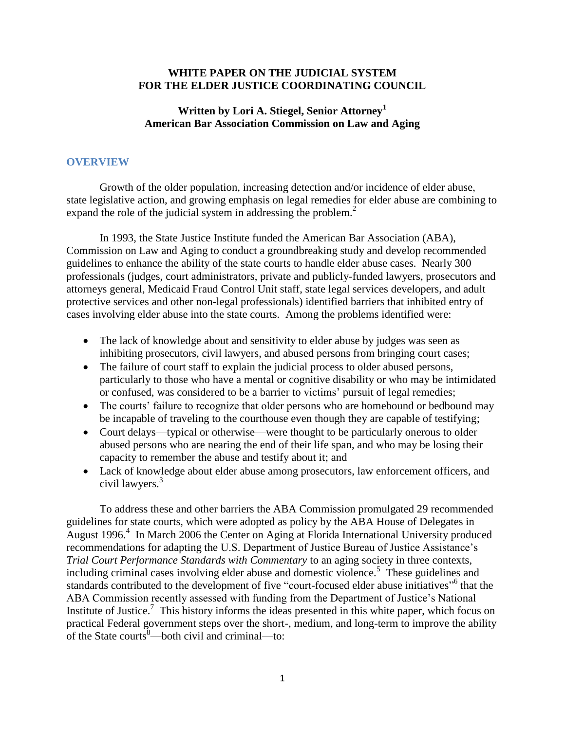## **WHITE PAPER ON THE JUDICIAL SYSTEM FOR THE ELDER JUSTICE COORDINATING COUNCIL**

## **Written by Lori A. Stiegel, Senior Attorney<sup>1</sup> American Bar Association Commission on Law and Aging**

## **OVERVIEW**

Growth of the older population, increasing detection and/or incidence of elder abuse, state legislative action, and growing emphasis on legal remedies for elder abuse are combining to expand the role of the judicial system in addressing the problem.<sup>2</sup>

In 1993, the State Justice Institute funded the American Bar Association (ABA), Commission on Law and Aging to conduct a groundbreaking study and develop recommended guidelines to enhance the ability of the state courts to handle elder abuse cases. Nearly 300 professionals (judges, court administrators, private and publicly-funded lawyers, prosecutors and attorneys general, Medicaid Fraud Control Unit staff, state legal services developers, and adult protective services and other non-legal professionals) identified barriers that inhibited entry of cases involving elder abuse into the state courts. Among the problems identified were:

- The lack of knowledge about and sensitivity to elder abuse by judges was seen as inhibiting prosecutors, civil lawyers, and abused persons from bringing court cases;
- The failure of court staff to explain the judicial process to older abused persons, particularly to those who have a mental or cognitive disability or who may be intimidated or confused, was considered to be a barrier to victims' pursuit of legal remedies;
- The courts' failure to recognize that older persons who are homebound or bedbound may be incapable of traveling to the courthouse even though they are capable of testifying;
- Court delays—typical or otherwise—were thought to be particularly onerous to older abused persons who are nearing the end of their life span, and who may be losing their capacity to remember the abuse and testify about it; and
- Lack of knowledge about elder abuse among prosecutors, law enforcement officers, and civil lawyers.<sup>3</sup>

To address these and other barriers the ABA Commission promulgated 29 recommended guidelines for state courts, which were adopted as policy by the ABA House of Delegates in August 1996.<sup>4</sup> In March 2006 the Center on Aging at Florida International University produced recommendations for adapting the U.S. Department of Justice Bureau of Justice Assistance's *Trial Court Performance Standards with Commentary* to an aging society in three contexts, including criminal cases involving elder abuse and domestic violence.<sup>5</sup> These guidelines and standards contributed to the development of five "court-focused elder abuse initiatives"<sup>6</sup> that the ABA Commission recently assessed with funding from the Department of Justice's National Institute of Justice.<sup>7</sup> This history informs the ideas presented in this white paper, which focus on practical Federal government steps over the short-, medium, and long-term to improve the ability of the State courts $\overset{8}{\sim}$  both civil and criminal—to: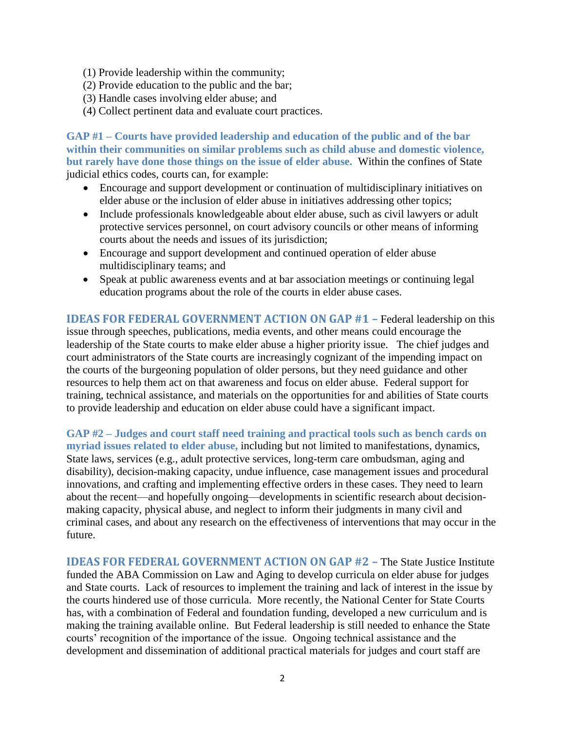- (1) Provide leadership within the community;
- (2) Provide education to the public and the bar;
- (3) Handle cases involving elder abuse; and
- (4) Collect pertinent data and evaluate court practices.

**GAP #1 – Courts have provided leadership and education of the public and of the bar within their communities on similar problems such as child abuse and domestic violence, but rarely have done those things on the issue of elder abuse.** Within the confines of State judicial ethics codes, courts can, for example:

- Encourage and support development or continuation of multidisciplinary initiatives on elder abuse or the inclusion of elder abuse in initiatives addressing other topics;
- Include professionals knowledgeable about elder abuse, such as civil lawyers or adult protective services personnel, on court advisory councils or other means of informing courts about the needs and issues of its jurisdiction;
- Encourage and support development and continued operation of elder abuse multidisciplinary teams; and
- Speak at public awareness events and at bar association meetings or continuing legal education programs about the role of the courts in elder abuse cases.

**IDEAS FOR FEDERAL GOVERNMENT ACTION ON GAP #1 –** Federal leadership on this issue through speeches, publications, media events, and other means could encourage the leadership of the State courts to make elder abuse a higher priority issue. The chief judges and court administrators of the State courts are increasingly cognizant of the impending impact on the courts of the burgeoning population of older persons, but they need guidance and other resources to help them act on that awareness and focus on elder abuse. Federal support for training, technical assistance, and materials on the opportunities for and abilities of State courts to provide leadership and education on elder abuse could have a significant impact.

**GAP #2 – Judges and court staff need training and practical tools such as bench cards on myriad issues related to elder abuse,** including but not limited to manifestations, dynamics, State laws, services (e.g., adult protective services, long-term care ombudsman, aging and disability), decision-making capacity, undue influence, case management issues and procedural innovations, and crafting and implementing effective orders in these cases. They need to learn about the recent—and hopefully ongoing—developments in scientific research about decisionmaking capacity, physical abuse, and neglect to inform their judgments in many civil and criminal cases, and about any research on the effectiveness of interventions that may occur in the future.

**IDEAS FOR FEDERAL GOVERNMENT ACTION ON GAP #2 –** The State Justice Institute funded the ABA Commission on Law and Aging to develop curricula on elder abuse for judges and State courts. Lack of resources to implement the training and lack of interest in the issue by the courts hindered use of those curricula. More recently, the National Center for State Courts has, with a combination of Federal and foundation funding, developed a new curriculum and is making the training available online. But Federal leadership is still needed to enhance the State courts' recognition of the importance of the issue. Ongoing technical assistance and the development and dissemination of additional practical materials for judges and court staff are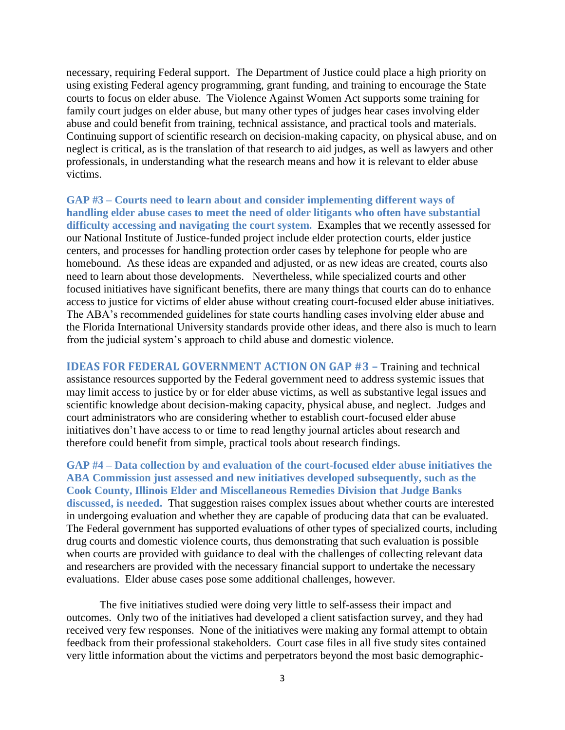necessary, requiring Federal support. The Department of Justice could place a high priority on using existing Federal agency programming, grant funding, and training to encourage the State courts to focus on elder abuse. The Violence Against Women Act supports some training for family court judges on elder abuse, but many other types of judges hear cases involving elder abuse and could benefit from training, technical assistance, and practical tools and materials. Continuing support of scientific research on decision-making capacity, on physical abuse, and on neglect is critical, as is the translation of that research to aid judges, as well as lawyers and other professionals, in understanding what the research means and how it is relevant to elder abuse victims.

**GAP #3 – Courts need to learn about and consider implementing different ways of handling elder abuse cases to meet the need of older litigants who often have substantial difficulty accessing and navigating the court system.** Examples that we recently assessed for our National Institute of Justice-funded project include elder protection courts, elder justice centers, and processes for handling protection order cases by telephone for people who are homebound. As these ideas are expanded and adjusted, or as new ideas are created, courts also need to learn about those developments. Nevertheless, while specialized courts and other focused initiatives have significant benefits, there are many things that courts can do to enhance access to justice for victims of elder abuse without creating court-focused elder abuse initiatives. The ABA's recommended guidelines for state courts handling cases involving elder abuse and the Florida International University standards provide other ideas, and there also is much to learn from the judicial system's approach to child abuse and domestic violence.

**IDEAS FOR FEDERAL GOVERNMENT ACTION ON GAP #3 –** Training and technical assistance resources supported by the Federal government need to address systemic issues that may limit access to justice by or for elder abuse victims, as well as substantive legal issues and scientific knowledge about decision-making capacity, physical abuse, and neglect. Judges and court administrators who are considering whether to establish court-focused elder abuse initiatives don't have access to or time to read lengthy journal articles about research and therefore could benefit from simple, practical tools about research findings.

**GAP #4 – Data collection by and evaluation of the court-focused elder abuse initiatives the ABA Commission just assessed and new initiatives developed subsequently, such as the Cook County, Illinois Elder and Miscellaneous Remedies Division that Judge Banks discussed, is needed.** That suggestion raises complex issues about whether courts are interested in undergoing evaluation and whether they are capable of producing data that can be evaluated. The Federal government has supported evaluations of other types of specialized courts, including drug courts and domestic violence courts, thus demonstrating that such evaluation is possible when courts are provided with guidance to deal with the challenges of collecting relevant data and researchers are provided with the necessary financial support to undertake the necessary evaluations. Elder abuse cases pose some additional challenges, however.

The five initiatives studied were doing very little to self-assess their impact and outcomes. Only two of the initiatives had developed a client satisfaction survey, and they had received very few responses. None of the initiatives were making any formal attempt to obtain feedback from their professional stakeholders. Court case files in all five study sites contained very little information about the victims and perpetrators beyond the most basic demographic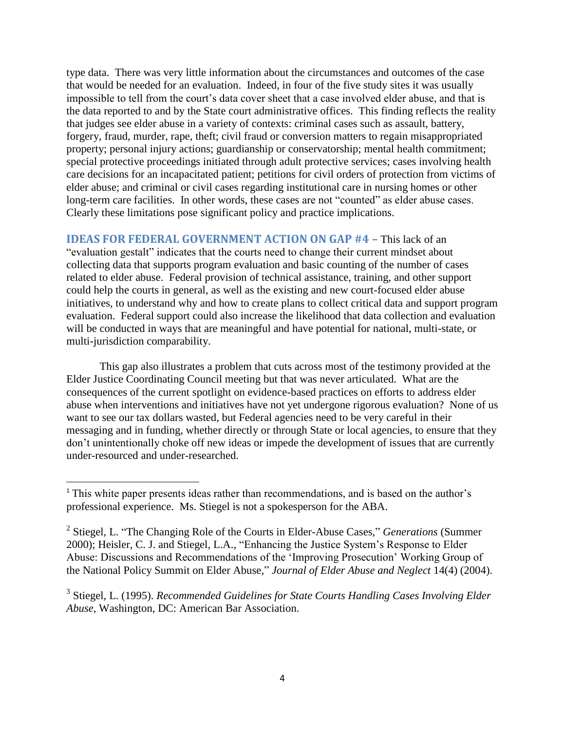type data. There was very little information about the circumstances and outcomes of the case that would be needed for an evaluation. Indeed, in four of the five study sites it was usually impossible to tell from the court's data cover sheet that a case involved elder abuse, and that is the data reported to and by the State court administrative offices. This finding reflects the reality that judges see elder abuse in a variety of contexts: criminal cases such as assault, battery, forgery, fraud, murder, rape, theft; civil fraud or conversion matters to regain misappropriated property; personal injury actions; guardianship or conservatorship; mental health commitment; special protective proceedings initiated through adult protective services; cases involving health care decisions for an incapacitated patient; petitions for civil orders of protection from victims of elder abuse; and criminal or civil cases regarding institutional care in nursing homes or other long-term care facilities. In other words, these cases are not "counted" as elder abuse cases. Clearly these limitations pose significant policy and practice implications.

**IDEAS FOR FEDERAL GOVERNMENT ACTION ON GAP #4 –** This lack of an "evaluation gestalt" indicates that the courts need to change their current mindset about collecting data that supports program evaluation and basic counting of the number of cases related to elder abuse. Federal provision of technical assistance, training, and other support could help the courts in general, as well as the existing and new court-focused elder abuse initiatives, to understand why and how to create plans to collect critical data and support program evaluation. Federal support could also increase the likelihood that data collection and evaluation will be conducted in ways that are meaningful and have potential for national, multi-state, or multi-jurisdiction comparability.

This gap also illustrates a problem that cuts across most of the testimony provided at the Elder Justice Coordinating Council meeting but that was never articulated. What are the consequences of the current spotlight on evidence-based practices on efforts to address elder abuse when interventions and initiatives have not yet undergone rigorous evaluation? None of us want to see our tax dollars wasted, but Federal agencies need to be very careful in their messaging and in funding, whether directly or through State or local agencies, to ensure that they don't unintentionally choke off new ideas or impede the development of issues that are currently under-resourced and under-researched.

 $\overline{\phantom{a}}$ 

<sup>&</sup>lt;sup>1</sup> This white paper presents ideas rather than recommendations, and is based on the author's professional experience. Ms. Stiegel is not a spokesperson for the ABA.

<sup>2</sup> Stiegel, L. "The Changing Role of the Courts in Elder-Abuse Cases," *Generations* (Summer 2000); Heisler, C. J. and Stiegel, L.A., "Enhancing the Justice System's Response to Elder Abuse: Discussions and Recommendations of the 'Improving Prosecution' Working Group of the National Policy Summit on Elder Abuse," *Journal of Elder Abuse and Neglect* 14(4) (2004).

<sup>&</sup>lt;sup>3</sup> Stiegel, L. (1995). *Recommended Guidelines for State Courts Handling Cases Involving Elder Abuse*, Washington, DC: American Bar Association.